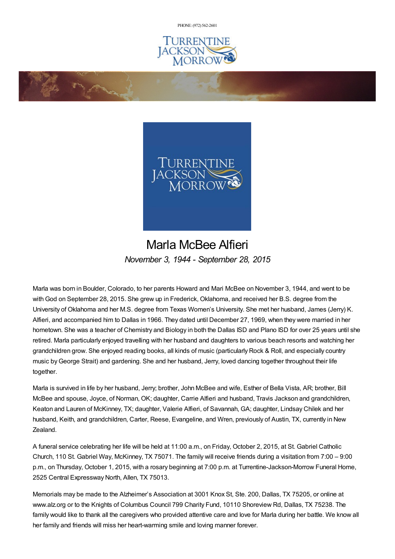PHONE: (972) [562-2601](tel:(972) 562-2601)





## Marla McBee Alfieri *November 3, 1944 - September 28, 2015*

Marla was born in Boulder, Colorado, to her parents Howard and Mari McBee on November 3, 1944, and went to be with God on September 28, 2015. She grew up in Frederick, Oklahoma, and received her B.S. degree from the University of Oklahoma and her M.S. degree from Texas Women's University. She met her husband, James (Jerry) K. Alfieri, and accompanied him to Dallas in 1966. They dated until December 27, 1969, when they were married in her hometown. She was a teacher of Chemistry and Biology in both the Dallas ISD and Plano ISD for over 25 years until she retired. Marla particularly enjoyed travelling with her husband and daughters to various beach resorts and watching her grandchildren grow. She enjoyed reading books, all kinds of music (particularly Rock & Roll, and especially country music byGeorge Strait) and gardening. She and her husband, Jerry, loved dancing together throughout their life together.

Marla is survived in life by her husband, Jerry; brother, John McBee and wife, Esther of Bella Vista, AR; brother, Bill McBee and spouse, Joyce, of Norman, OK; daughter, Carrie Alfieri and husband, Travis Jackson and grandchildren, Keaton and Lauren of McKinney, TX; daughter, Valerie Alfieri, of Savannah, GA; daughter, Lindsay Chilek and her husband, Keith, and grandchildren, Carter, Reese, Evangeline, and Wren, previously of Austin, TX, currently in New Zealand.

A funeral service celebrating her life will be held at 11:00 a.m., on Friday, October 2, 2015, at St. Gabriel Catholic Church, 110 St. Gabriel Way, McKinney, TX 75071. The family will receive friends during a visitation from 7:00 – 9:00 p.m., on Thursday, October 1, 2015, with a rosary beginning at 7:00 p.m. at Turrentine-Jackson-Morrow Funeral Home, 2525 Central Expressway North, Allen, TX 75013.

Memorials may be made to the Alzheimer's Association at 3001 Knox St, Ste. 200, Dallas, TX 75205, or online at www.alz.org or to the Knights of Columbus Council 799 Charity Fund, 10110 Shoreview Rd, Dallas, TX 75238. The family would like to thank all the caregivers who provided attentive care and love for Marla during her battle. We know all her family and friends will miss her heart-warming smile and loving manner forever.